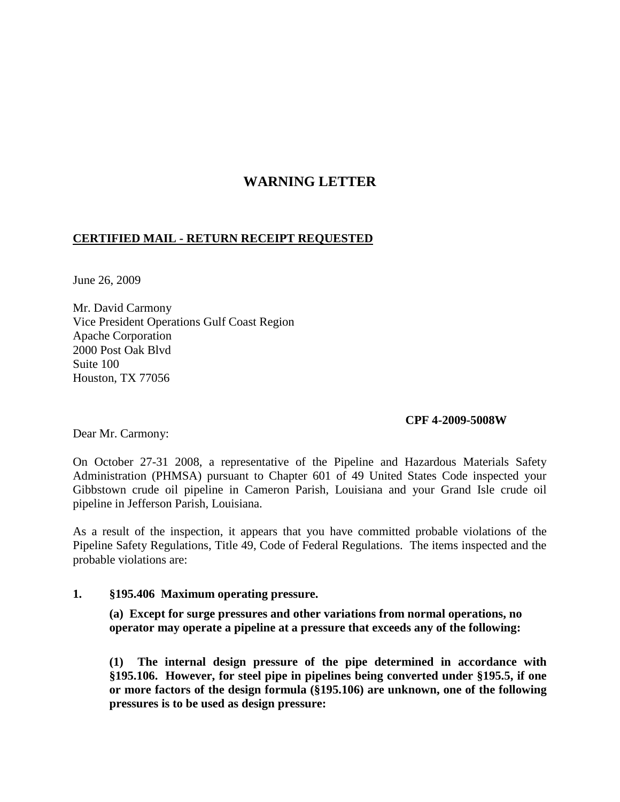# **WARNING LETTER**

## **CERTIFIED MAIL - RETURN RECEIPT REQUESTED**

June 26, 2009

Mr. David Carmony Vice President Operations Gulf Coast Region Apache Corporation 2000 Post Oak Blvd Suite 100 Houston, TX 77056

#### **CPF 4-2009-5008W**

Dear Mr. Carmony:

On October 27-31 2008, a representative of the Pipeline and Hazardous Materials Safety Administration (PHMSA) pursuant to Chapter 601 of 49 United States Code inspected your Gibbstown crude oil pipeline in Cameron Parish, Louisiana and your Grand Isle crude oil pipeline in Jefferson Parish, Louisiana.

As a result of the inspection, it appears that you have committed probable violations of the Pipeline Safety Regulations, Title 49, Code of Federal Regulations. The items inspected and the probable violations are:

#### **1. §195.406 Maximum operating pressure.**

**(a) Except for surge pressures and other variations from normal operations, no operator may operate a pipeline at a pressure that exceeds any of the following:**

**(1) The internal design pressure of the pipe determined in accordance with §195.106. However, for steel pipe in pipelines being converted under §195.5, if one or more factors of the design formula (§195.106) are unknown, one of the following pressures is to be used as design pressure:**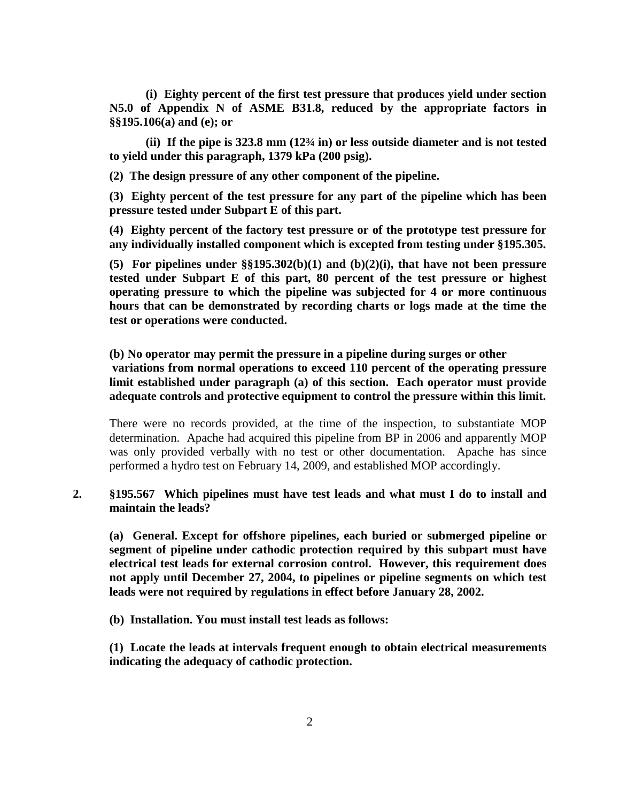**(i) Eighty percent of the first test pressure that produces yield under section N5.0 of Appendix N of ASME B31.8, reduced by the appropriate factors in §§195.106(a) and (e); or**

**(ii) If the pipe is 323.8 mm (12¾ in) or less outside diameter and is not tested to yield under this paragraph, 1379 kPa (200 psig).**

**(2) The design pressure of any other component of the pipeline.**

**(3) Eighty percent of the test pressure for any part of the pipeline which has been pressure tested under Subpart E of this part.**

**(4) Eighty percent of the factory test pressure or of the prototype test pressure for any individually installed component which is excepted from testing under §195.305.**

**(5) For pipelines under §§195.302(b)(1) and (b)(2)(i), that have not been pressure tested under Subpart E of this part, 80 percent of the test pressure or highest operating pressure to which the pipeline was subjected for 4 or more continuous hours that can be demonstrated by recording charts or logs made at the time the test or operations were conducted.**

**(b) No operator may permit the pressure in a pipeline during surges or other variations from normal operations to exceed 110 percent of the operating pressure limit established under paragraph (a) of this section. Each operator must provide adequate controls and protective equipment to control the pressure within this limit.**

There were no records provided, at the time of the inspection, to substantiate MOP determination. Apache had acquired this pipeline from BP in 2006 and apparently MOP was only provided verbally with no test or other documentation. Apache has since performed a hydro test on February 14, 2009, and established MOP accordingly.

#### **2. §195.567 Which pipelines must have test leads and what must I do to install and maintain the leads?**

**(a) General. Except for offshore pipelines, each buried or submerged pipeline or segment of pipeline under cathodic protection required by this subpart must have electrical test leads for external corrosion control. However, this requirement does not apply until December 27, 2004, to pipelines or pipeline segments on which test leads were not required by regulations in effect before January 28, 2002.**

**(b) Installation. You must install test leads as follows:**

**(1) Locate the leads at intervals frequent enough to obtain electrical measurements indicating the adequacy of cathodic protection.**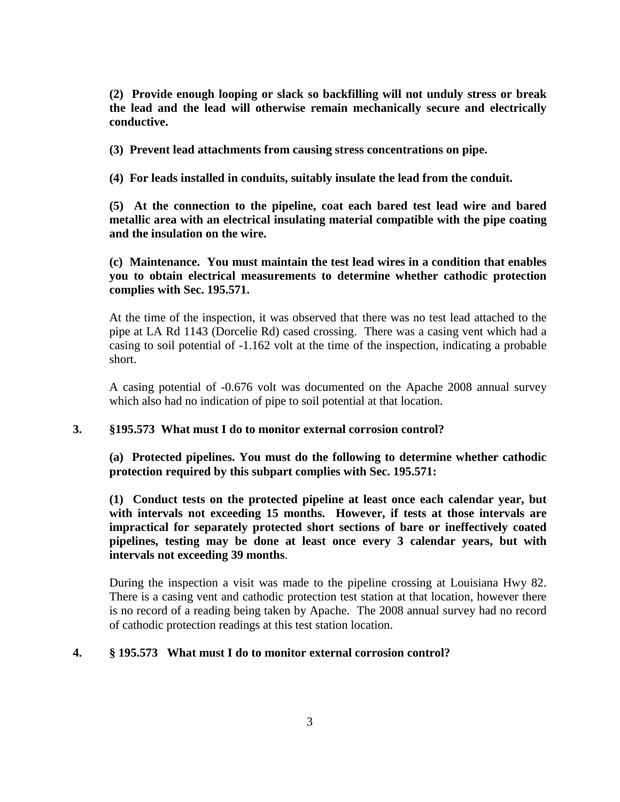**(2) Provide enough looping or slack so backfilling will not unduly stress or break the lead and the lead will otherwise remain mechanically secure and electrically conductive.**

**(3) Prevent lead attachments from causing stress concentrations on pipe.**

**(4) For leads installed in conduits, suitably insulate the lead from the conduit.**

**(5) At the connection to the pipeline, coat each bared test lead wire and bared metallic area with an electrical insulating material compatible with the pipe coating and the insulation on the wire.**

**(c) Maintenance. You must maintain the test lead wires in a condition that enables you to obtain electrical measurements to determine whether cathodic protection complies with Sec. 195.571.**

At the time of the inspection, it was observed that there was no test lead attached to the pipe at LA Rd 1143 (Dorcelie Rd) cased crossing. There was a casing vent which had a casing to soil potential of -1.162 volt at the time of the inspection, indicating a probable short.

A casing potential of -0.676 volt was documented on the Apache 2008 annual survey which also had no indication of pipe to soil potential at that location.

#### **3. §195.573 What must I do to monitor external corrosion control?**

**(a) Protected pipelines. You must do the following to determine whether cathodic protection required by this subpart complies with Sec. 195.571:**

**(1) Conduct tests on the protected pipeline at least once each calendar year, but with intervals not exceeding 15 months. However, if tests at those intervals are impractical for separately protected short sections of bare or ineffectively coated pipelines, testing may be done at least once every 3 calendar years, but with intervals not exceeding 39 months**.

During the inspection a visit was made to the pipeline crossing at Louisiana Hwy 82. There is a casing vent and cathodic protection test station at that location, however there is no record of a reading being taken by Apache. The 2008 annual survey had no record of cathodic protection readings at this test station location.

#### **4. § 195.573 What must I do to monitor external corrosion control?**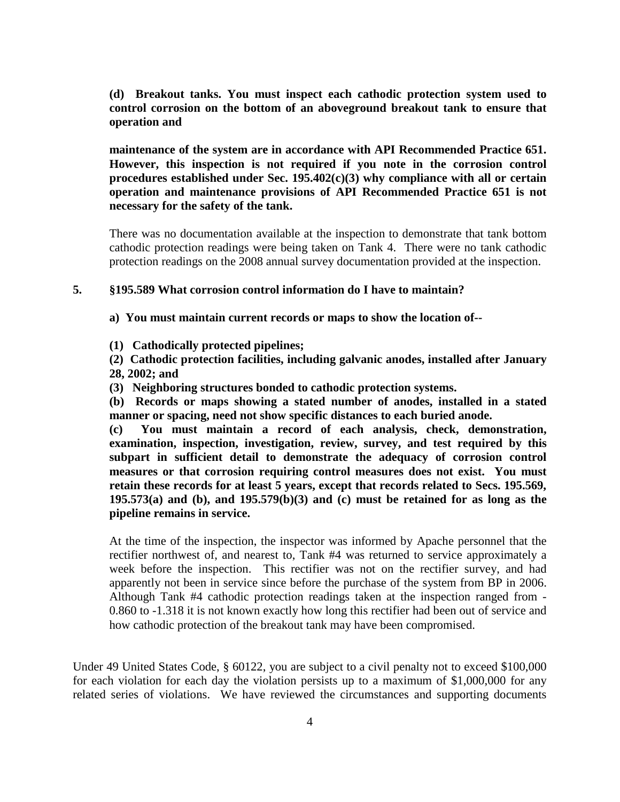**(d) Breakout tanks. You must inspect each cathodic protection system used to control corrosion on the bottom of an aboveground breakout tank to ensure that operation and** 

**maintenance of the system are in accordance with API Recommended Practice 651. However, this inspection is not required if you note in the corrosion control procedures established under Sec. 195.402(c)(3) why compliance with all or certain operation and maintenance provisions of API Recommended Practice 651 is not necessary for the safety of the tank.**

There was no documentation available at the inspection to demonstrate that tank bottom cathodic protection readings were being taken on Tank 4. There were no tank cathodic protection readings on the 2008 annual survey documentation provided at the inspection.

### **5. §195.589 What corrosion control information do I have to maintain?**

**a) You must maintain current records or maps to show the location of--**

- **(1) Cathodically protected pipelines;**
- **(2) Cathodic protection facilities, including galvanic anodes, installed after January 28, 2002; and**
- **(3) Neighboring structures bonded to cathodic protection systems.**

**(b) Records or maps showing a stated number of anodes, installed in a stated manner or spacing, need not show specific distances to each buried anode.**

**(c) You must maintain a record of each analysis, check, demonstration, examination, inspection, investigation, review, survey, and test required by this subpart in sufficient detail to demonstrate the adequacy of corrosion control measures or that corrosion requiring control measures does not exist. You must retain these records for at least 5 years, except that records related to Secs. 195.569, 195.573(a) and (b), and 195.579(b)(3) and (c) must be retained for as long as the pipeline remains in service.**

At the time of the inspection, the inspector was informed by Apache personnel that the rectifier northwest of, and nearest to, Tank #4 was returned to service approximately a week before the inspection. This rectifier was not on the rectifier survey, and had apparently not been in service since before the purchase of the system from BP in 2006. Although Tank #4 cathodic protection readings taken at the inspection ranged from - 0.860 to -1.318 it is not known exactly how long this rectifier had been out of service and how cathodic protection of the breakout tank may have been compromised.

Under 49 United States Code, § 60122, you are subject to a civil penalty not to exceed \$100,000 for each violation for each day the violation persists up to a maximum of \$1,000,000 for any related series of violations. We have reviewed the circumstances and supporting documents